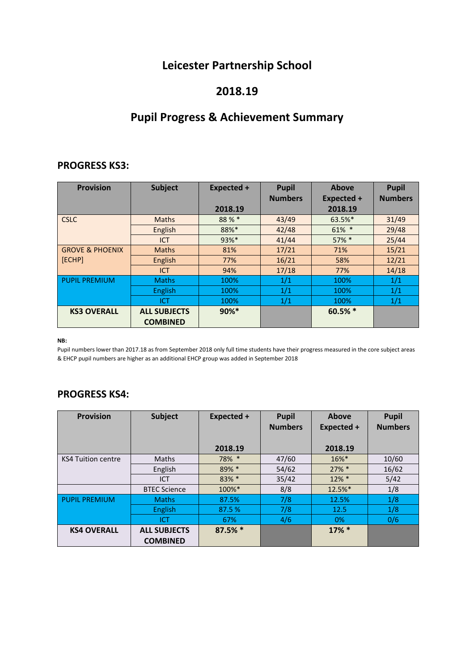# **Leicester Partnership School**

## **2018.19**

# **Pupil Progress & Achievement Summary**

### **PROGRESS KS3:**

| <b>Provision</b>           | <b>Subject</b>      | Expected + | <b>Pupil</b>   | Above             | <b>Pupil</b>   |
|----------------------------|---------------------|------------|----------------|-------------------|----------------|
|                            |                     |            | <b>Numbers</b> | <b>Expected +</b> | <b>Numbers</b> |
|                            |                     | 2018.19    |                | 2018.19           |                |
| <b>CSLC</b>                | <b>Maths</b>        | 88%*       | 43/49          | 63.5%*            | 31/49          |
|                            | English             | 88%*       | 42/48          | $61\%$ *          | 29/48          |
|                            | <b>ICT</b>          | 93%*       | 41/44          | $57\%$ *          | 25/44          |
| <b>GROVE &amp; PHOENIX</b> | <b>Maths</b>        | 81%        | 17/21          | 71%               | 15/21          |
| [ECHP]                     | English             | 77%        | 16/21          | 58%               | 12/21          |
|                            | <b>ICT</b>          | 94%        | 17/18          | 77%               | 14/18          |
| <b>PUPIL PREMIUM</b>       | <b>Maths</b>        | 100%       | 1/1            | 100%              | 1/1            |
|                            | English             | 100%       | 1/1            | 100%              | 1/1            |
|                            | ICT                 | 100%       | 1/1            | 100%              | 1/1            |
| <b>KS3 OVERALL</b>         | <b>ALL SUBJECTS</b> | $90\%$ *   |                | 60.5% *           |                |
|                            | <b>COMBINED</b>     |            |                |                   |                |

#### **NB:**

Pupil numbers lower than 2017.18 as from September 2018 only full time students have their progress measured in the core subject areas & EHCP pupil numbers are higher as an additional EHCP group was added in September 2018

### **PROGRESS KS4:**

| <b>Provision</b>          | Subject                                | Expected + | <b>Pupil</b><br><b>Numbers</b> | <b>Above</b><br>Expected + | <b>Pupil</b><br><b>Numbers</b> |
|---------------------------|----------------------------------------|------------|--------------------------------|----------------------------|--------------------------------|
|                           |                                        | 2018.19    |                                | 2018.19                    |                                |
| <b>KS4 Tuition centre</b> | <b>Maths</b>                           | 78% *      | 47/60                          | $16\%$ *                   | 10/60                          |
|                           | English                                | 89% *      | 54/62                          | $27\%$ *                   | 16/62                          |
|                           | <b>ICT</b>                             | 83% *      | 35/42                          | $12\% *$                   | 5/42                           |
|                           | <b>BTEC Science</b>                    | 100%*      | 8/8                            | 12.5%*                     | 1/8                            |
| <b>PUPIL PREMIUM</b>      | <b>Maths</b>                           | 87.5%      | 7/8                            | 12.5%                      | 1/8                            |
|                           | English                                | 87.5 %     | 7/8                            | 12.5                       | 1/8                            |
|                           | <b>ICT</b>                             | 67%        | 4/6                            | 0%                         | 0/6                            |
| <b>KS4 OVERALL</b>        | <b>ALL SUBJECTS</b><br><b>COMBINED</b> | $87.5%$ *  |                                | $17\%$ *                   |                                |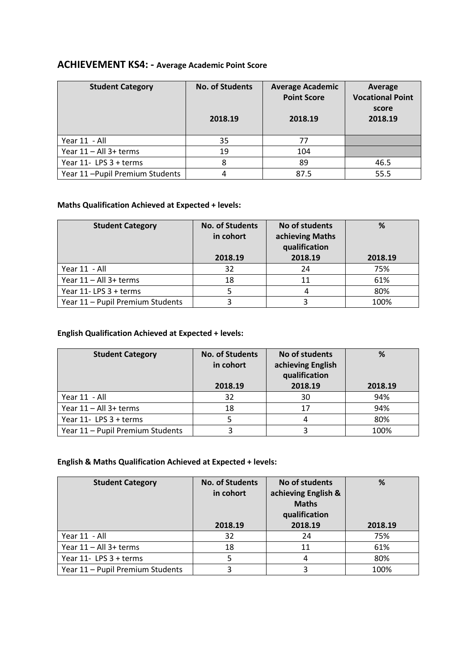#### **ACHIEVEMENT KS4: - Average Academic Point Score**

| <b>Student Category</b>        | <b>No. of Students</b><br>2018.19 | <b>Average Academic</b><br><b>Point Score</b><br>2018.19 | Average<br><b>Vocational Point</b><br>score<br>2018.19 |
|--------------------------------|-----------------------------------|----------------------------------------------------------|--------------------------------------------------------|
| Year 11 - All                  | 35                                | 77                                                       |                                                        |
| Year 11 - All 3+ terms         | 19                                | 104                                                      |                                                        |
| Year 11- LPS 3 + terms         | 8                                 | 89                                                       | 46.5                                                   |
| Year 11-Pupil Premium Students | 4                                 | 87.5                                                     | 55.5                                                   |

#### **Maths Qualification Achieved at Expected + levels:**

| <b>Student Category</b>          | <b>No. of Students</b><br>in cohort | No of students<br>achieving Maths<br>qualification | %       |
|----------------------------------|-------------------------------------|----------------------------------------------------|---------|
|                                  | 2018.19                             | 2018.19                                            | 2018.19 |
| Year 11 - All                    | 32                                  | 24                                                 | 75%     |
| Year 11 - All 3+ terms           | 18                                  | 11                                                 | 61%     |
| Year 11-LPS 3 + terms            |                                     |                                                    | 80%     |
| Year 11 - Pupil Premium Students |                                     |                                                    | 100%    |

#### **English Qualification Achieved at Expected + levels:**

| <b>Student Category</b>          | <b>No. of Students</b><br>in cohort | No of students<br>achieving English<br>qualification | %       |
|----------------------------------|-------------------------------------|------------------------------------------------------|---------|
|                                  | 2018.19                             | 2018.19                                              | 2018.19 |
| Year 11 - All                    | 32                                  | 30                                                   | 94%     |
| Year 11 - All 3+ terms           | 18                                  | 17                                                   | 94%     |
| Year 11- LPS 3 + terms           |                                     |                                                      | 80%     |
| Year 11 - Pupil Premium Students |                                     |                                                      | 100%    |

#### **English & Maths Qualification Achieved at Expected + levels:**

| <b>Student Category</b>          | <b>No. of Students</b><br>in cohort<br>2018.19 | No of students<br>achieving English &<br><b>Maths</b><br>qualification<br>2018.19 | %<br>2018.19 |
|----------------------------------|------------------------------------------------|-----------------------------------------------------------------------------------|--------------|
| Year 11 - All                    | 32                                             | 24                                                                                | 75%          |
| Year 11 - All 3+ terms           | 18                                             | 11                                                                                | 61%          |
| Year 11- LPS 3 + terms           |                                                |                                                                                   | 80%          |
| Year 11 - Pupil Premium Students | 3                                              |                                                                                   | 100%         |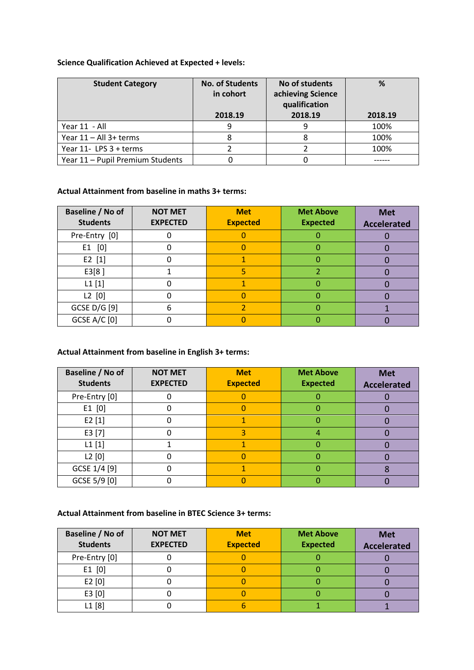#### **Science Qualification Achieved at Expected + levels:**

| <b>Student Category</b>          | <b>No. of Students</b><br>in cohort<br>2018.19 | No of students<br>achieving Science<br>qualification<br>2018.19 | %<br>2018.19 |
|----------------------------------|------------------------------------------------|-----------------------------------------------------------------|--------------|
| Year 11 - All                    | 9                                              |                                                                 | 100%         |
| Year 11 - All 3+ terms           |                                                |                                                                 | 100%         |
| Year 11- LPS 3 + terms           |                                                |                                                                 | 100%         |
| Year 11 - Pupil Premium Students |                                                |                                                                 |              |

#### **Actual Attainment from baseline in maths 3+ terms:**

| Baseline / No of<br><b>Students</b> | <b>NOT MET</b><br><b>EXPECTED</b> | <b>Met</b><br><b>Expected</b> | <b>Met Above</b><br><b>Expected</b> | <b>Met</b><br><b>Accelerated</b> |
|-------------------------------------|-----------------------------------|-------------------------------|-------------------------------------|----------------------------------|
| Pre-Entry [0]                       |                                   |                               |                                     |                                  |
| $E1$ [0]                            |                                   |                               |                                     |                                  |
| E2 [1]                              |                                   |                               |                                     |                                  |
| E3[8]                               |                                   | 5                             |                                     |                                  |
| $L1$ [1]                            |                                   |                               |                                     |                                  |
| $L2$ [0]                            |                                   |                               |                                     |                                  |
| GCSE D/G [9]                        | h                                 |                               |                                     |                                  |
| <b>GCSE A/C [0]</b>                 |                                   |                               |                                     |                                  |

#### **Actual Attainment from baseline in English 3+ terms:**

| Baseline / No of<br><b>Students</b> | <b>NOT MET</b><br><b>EXPECTED</b> | <b>Met</b><br><b>Expected</b> | <b>Met Above</b><br><b>Expected</b> | <b>Met</b><br><b>Accelerated</b> |
|-------------------------------------|-----------------------------------|-------------------------------|-------------------------------------|----------------------------------|
| Pre-Entry [0]                       |                                   |                               |                                     |                                  |
| $E1$ [0]                            |                                   |                               |                                     |                                  |
| E2[1]                               |                                   |                               |                                     |                                  |
| E3 [7]                              |                                   |                               |                                     |                                  |
| $L1$ [1]                            |                                   |                               |                                     |                                  |
| L2[0]                               |                                   |                               |                                     |                                  |
| GCSE 1/4 [9]                        |                                   |                               |                                     |                                  |
| GCSE 5/9 [0]                        |                                   |                               |                                     |                                  |

#### **Actual Attainment from baseline in BTEC Science 3+ terms:**

| Baseline / No of | <b>NOT MET</b>  | <b>Met</b>      | <b>Met Above</b> | <b>Met</b>         |
|------------------|-----------------|-----------------|------------------|--------------------|
| <b>Students</b>  | <b>EXPECTED</b> | <b>Expected</b> | <b>Expected</b>  | <b>Accelerated</b> |
| Pre-Entry [0]    |                 |                 |                  |                    |
| $E1$ [0]         |                 |                 |                  |                    |
| E2[0]            |                 |                 |                  |                    |
| E3 [0]           |                 |                 |                  |                    |
| L1[8]            |                 |                 |                  |                    |